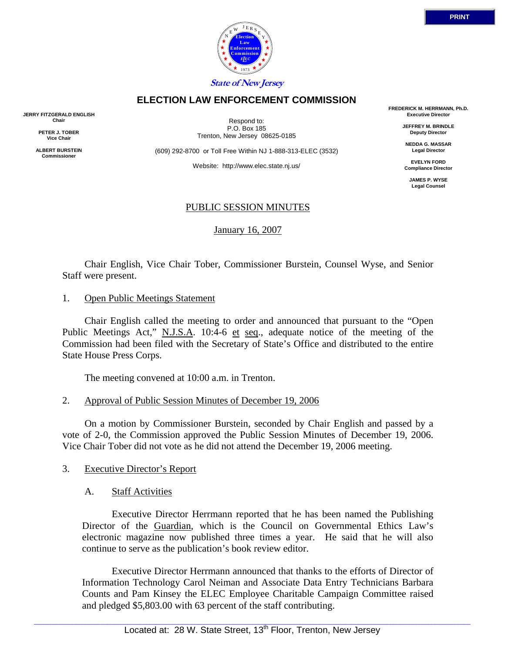

## **ELECTION LAW ENFORCEMENT COMMISSION**

**JERRY FITZGERALD ENGLISH Chair** 

> **PETER J. TOBER Vice Chair**

**ALBERT BURSTEIN Commissioner** 

Respond to: P.O. Box 185 Trenton, New Jersey 08625-0185

(609) 292-8700 or Toll Free Within NJ 1-888-313-ELEC (3532)

Website: http://www.elec.state.nj.us/

**FREDERICK M. HERRMANN, Ph.D. Executive Director** 

> **JEFFREY M. BRINDLE Deputy Director**

**NEDDA G. MASSAR Legal Director** 

**EVELYN FORD Compliance Director** 

**JAMES P. WYSE Legal Counsel** 

## PUBLIC SESSION MINUTES

January 16, 2007

 Chair English, Vice Chair Tober, Commissioner Burstein, Counsel Wyse, and Senior Staff were present.

#### 1. Open Public Meetings Statement

 Chair English called the meeting to order and announced that pursuant to the "Open Public Meetings Act," N.J.S.A. 10:4-6 et seq., adequate notice of the meeting of the Commission had been filed with the Secretary of State's Office and distributed to the entire State House Press Corps.

The meeting convened at 10:00 a.m. in Trenton.

#### 2. Approval of Public Session Minutes of December 19, 2006

 On a motion by Commissioner Burstein, seconded by Chair English and passed by a vote of 2-0, the Commission approved the Public Session Minutes of December 19, 2006. Vice Chair Tober did not vote as he did not attend the December 19, 2006 meeting.

## 3. Executive Director's Report

#### A. Staff Activities

 Executive Director Herrmann reported that he has been named the Publishing Director of the Guardian, which is the Council on Governmental Ethics Law's electronic magazine now published three times a year. He said that he will also continue to serve as the publication's book review editor.

 Executive Director Herrmann announced that thanks to the efforts of Director of Information Technology Carol Neiman and Associate Data Entry Technicians Barbara Counts and Pam Kinsey the ELEC Employee Charitable Campaign Committee raised and pledged \$5,803.00 with 63 percent of the staff contributing.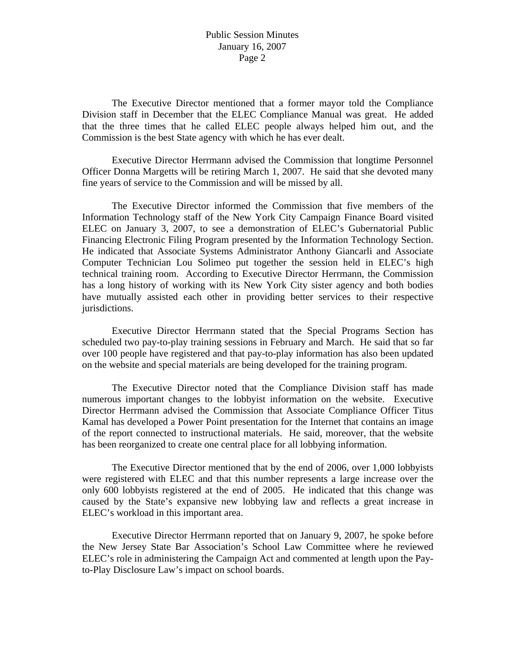#### Public Session Minutes January 16, 2007 Page 2

 The Executive Director mentioned that a former mayor told the Compliance Division staff in December that the ELEC Compliance Manual was great. He added that the three times that he called ELEC people always helped him out, and the Commission is the best State agency with which he has ever dealt.

 Executive Director Herrmann advised the Commission that longtime Personnel Officer Donna Margetts will be retiring March 1, 2007. He said that she devoted many fine years of service to the Commission and will be missed by all.

 The Executive Director informed the Commission that five members of the Information Technology staff of the New York City Campaign Finance Board visited ELEC on January 3, 2007, to see a demonstration of ELEC's Gubernatorial Public Financing Electronic Filing Program presented by the Information Technology Section. He indicated that Associate Systems Administrator Anthony Giancarli and Associate Computer Technician Lou Solimeo put together the session held in ELEC's high technical training room. According to Executive Director Herrmann, the Commission has a long history of working with its New York City sister agency and both bodies have mutually assisted each other in providing better services to their respective jurisdictions.

 Executive Director Herrmann stated that the Special Programs Section has scheduled two pay-to-play training sessions in February and March. He said that so far over 100 people have registered and that pay-to-play information has also been updated on the website and special materials are being developed for the training program.

 The Executive Director noted that the Compliance Division staff has made numerous important changes to the lobbyist information on the website. Executive Director Herrmann advised the Commission that Associate Compliance Officer Titus Kamal has developed a Power Point presentation for the Internet that contains an image of the report connected to instructional materials. He said, moreover, that the website has been reorganized to create one central place for all lobbying information.

 The Executive Director mentioned that by the end of 2006, over 1,000 lobbyists were registered with ELEC and that this number represents a large increase over the only 600 lobbyists registered at the end of 2005. He indicated that this change was caused by the State's expansive new lobbying law and reflects a great increase in ELEC's workload in this important area.

 Executive Director Herrmann reported that on January 9, 2007, he spoke before the New Jersey State Bar Association's School Law Committee where he reviewed ELEC's role in administering the Campaign Act and commented at length upon the Payto-Play Disclosure Law's impact on school boards.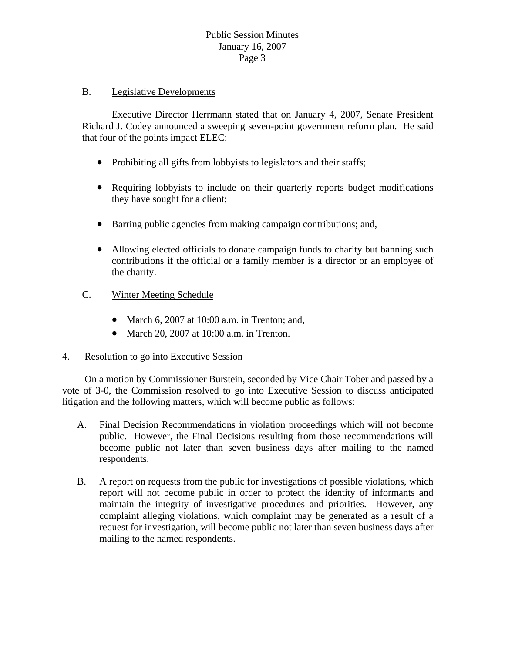## B. Legislative Developments

 Executive Director Herrmann stated that on January 4, 2007, Senate President Richard J. Codey announced a sweeping seven-point government reform plan. He said that four of the points impact ELEC:

- Prohibiting all gifts from lobbyists to legislators and their staffs;
- Requiring lobbyists to include on their quarterly reports budget modifications they have sought for a client;
- Barring public agencies from making campaign contributions; and,
- Allowing elected officials to donate campaign funds to charity but banning such contributions if the official or a family member is a director or an employee of the charity.

## C. Winter Meeting Schedule

- March 6, 2007 at 10:00 a.m. in Trenton; and,
- March 20, 2007 at 10:00 a.m. in Trenton.

## 4. Resolution to go into Executive Session

 On a motion by Commissioner Burstein, seconded by Vice Chair Tober and passed by a vote of 3-0, the Commission resolved to go into Executive Session to discuss anticipated litigation and the following matters, which will become public as follows:

- A. Final Decision Recommendations in violation proceedings which will not become public. However, the Final Decisions resulting from those recommendations will become public not later than seven business days after mailing to the named respondents.
- B. A report on requests from the public for investigations of possible violations, which report will not become public in order to protect the identity of informants and maintain the integrity of investigative procedures and priorities. However, any complaint alleging violations, which complaint may be generated as a result of a request for investigation, will become public not later than seven business days after mailing to the named respondents.